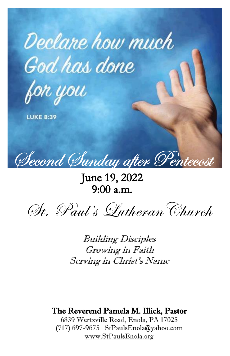

for you

**LUKE 8:39** 

 $\overline{\phantom{a}}$ Ξ

St. Paul's LutheranChurch

Building Disciples Growing in Faith Serving in Christ'<sup>s</sup> Name

# The Reverend Pamela M. Illick, Pastor

6839 Wertzville Road, Enola, PA 17025 (717) 697-9675 [StPaulsEnola@yahoo.com](about:blank) [www.StPaulsEnola.org](about:blank)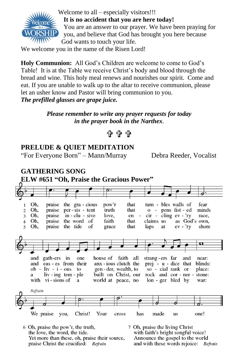

Welcome to all – especially visitors!!! **It is no accident that you are here today!** You are an answer to our prayer. We have been praying for you, and believe that God has brought you here because God wants to touch your life.

We welcome you in the name of the Risen Lord!

**Holy Communion:** All God's Children are welcome to come to God's Table! It is at the Table we receive Christ's body and blood through the bread and wine. This holy meal renews and nourishes our spirit. Come and eat. If you are unable to walk up to the altar to receive communion, please let an usher know and Pastor will bring communion to you. *The prefilled glasses are grape juice.*

> *Please remember to write any prayer requests for today in the prayer book in the Narthex.*

$$
\mathbf{f} \mathbf{f} \mathbf{f}
$$

## **PRELUDE & QUIET MEDITATION**

"For Everyone Born" – Mann/Murray Debra Reeder, Vocalist

#### **GATHERING SONG ELW #651 "Oh, Praise the Gracious Power"**that tum - bles walls of Oh. praise the gra - cious pow'r fear  $\mathbf{1}$ Oh, that o - pens fist - ed minds  $\overline{2}$ praise per-sis - tent truth  $cir$  -  $\tilde{cling}$  ev - 'ry  $3<sup>1</sup>$ Oh, praise  $in$  -  $clu$  - sive love. en race, the word of as God's own, 4 Oh, praise faith that claims us Oh. praise the tide οf grace that laps at  $ev - Yv$ shore  $5 -$ Õ and gath-ers in one house of faith all strang-ers far and near: prej - u - dice that and eas - es from their anx - ious clutch the blinds:  $ob - liv - i -ous$ to gen-der, wealth, to so - cial rank or place: liv - ing tem - ple built on Christ, our rock and cor - ner stone: a with vi-sions of world at peace, no lon - ger bled by war: a Refrain We praise Christ! Your has made one! you, cross us

6 Oh, praise the pow'r, the truth, the love, the word, the tide. Yet more than these, oh, praise their source, praise Christ the crucified: Refrain

7 Oh, praise the living Christ with faith's bright songful voice! Announce the gospel to the world and with these words rejoice: Refrain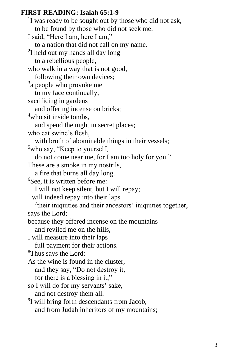### **FIRST READING: Isaiah 65:1-9**

<sup>1</sup>I was ready to be sought out by those who did not ask, to be found by those who did not seek me. I said, "Here I am, here I am," to a nation that did not call on my name. <sup>2</sup>I held out my hands all day long to a rebellious people, who walk in a way that is not good, following their own devices; <sup>3</sup>a people who provoke me to my face continually, sacrificing in gardens and offering incense on bricks; <sup>4</sup>who sit inside tombs. and spend the night in secret places; who eat swine's flesh, with broth of abominable things in their vessels; <sup>5</sup>who say, "Keep to yourself, do not come near me, for I am too holy for you." These are a smoke in my nostrils, a fire that burns all day long. <sup>6</sup>See, it is written before me: I will not keep silent, but I will repay; I will indeed repay into their laps  $7$ their iniquities and their ancestors' iniquities together, says the Lord; because they offered incense on the mountains and reviled me on the hills, I will measure into their laps full payment for their actions. <sup>8</sup>Thus says the Lord: As the wine is found in the cluster, and they say, "Do not destroy it, for there is a blessing in it," so I will do for my servants' sake, and not destroy them all. <sup>9</sup>I will bring forth descendants from Jacob, and from Judah inheritors of my mountains;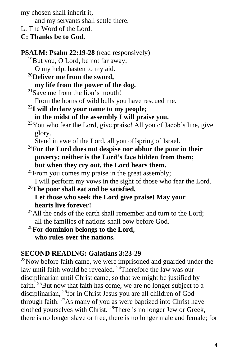my chosen shall inherit it,

and my servants shall settle there.

- L: The Word of the Lord.
- **C: Thanks be to God.**

**PSALM: Psalm 22:19-28** (read responsively)  $19$ But you, O Lord, be not far away; O my help, hasten to my aid. <sup>20</sup>**Deliver me from the sword, my life from the power of the dog.**  $21$ Save me from the lion's mouth! From the horns of wild bulls you have rescued me. <sup>22</sup>**I will declare your name to my people; in the midst of the assembly I will praise you.**  $23$ You who fear the Lord, give praise! All you of Jacob's line, give glory. Stand in awe of the Lord, all you offspring of Israel. <sup>24</sup>**For the Lord does not despise nor abhor the poor in their poverty; neither is the Lord's face hidden from them; but when they cry out, the Lord hears them.**  $^{25}$ From you comes my praise in the great assembly; I will perform my vows in the sight of those who fear the Lord. <sup>26</sup>**The poor shall eat and be satisfied, Let those who seek the Lord give praise! May your hearts live forever!**  $^{27}$ All the ends of the earth shall remember and turn to the Lord; all the families of nations shall bow before God. <sup>28</sup>**For dominion belongs to the Lord, who rules over the nations. SECOND READING: Galatians 3:23-29**

 $23$ Now before faith came, we were imprisoned and guarded under the law until faith would be revealed. <sup>24</sup>Therefore the law was our disciplinarian until Christ came, so that we might be justified by faith.  $25$ But now that faith has come, we are no longer subject to a disciplinarian, <sup>26</sup>for in Christ Jesus you are all children of God through faith.  $27\text{As}$  many of you as were baptized into Christ have clothed yourselves with Christ. <sup>28</sup>There is no longer Jew or Greek, there is no longer slave or free, there is no longer male and female; for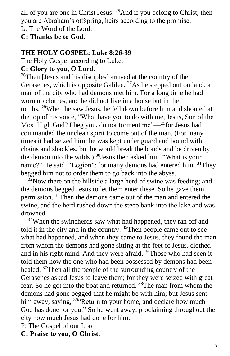all of you are one in Christ Jesus.  $^{29}$ And if you belong to Christ, then you are Abraham's offspring, heirs according to the promise. L: The Word of the Lord.

# **C: Thanks be to God.**

# **THE HOLY GOSPEL: Luke 8:26-39**

The Holy Gospel according to Luke.

# **C: Glory to you, O Lord.**

 $26$ Then [Jesus and his disciples] arrived at the country of the Gerasenes, which is opposite Galilee.  $^{27}$ As he stepped out on land, a man of the city who had demons met him. For a long time he had worn no clothes, and he did not live in a house but in the tombs. <sup>28</sup>When he saw Jesus, he fell down before him and shouted at the top of his voice, "What have you to do with me, Jesus, Son of the Most High God? I beg you, do not torment me" $-$ <sup>29</sup>for Jesus had commanded the unclean spirit to come out of the man. (For many times it had seized him; he was kept under guard and bound with chains and shackles, but he would break the bonds and be driven by the demon into the wilds.)  $30$  Jesus then asked him, "What is your name?" He said, "Legion"; for many demons had entered him. <sup>31</sup>They begged him not to order them to go back into the abyss.

 $32$ Now there on the hillside a large herd of swine was feeding; and the demons begged Jesus to let them enter these. So he gave them permission. <sup>33</sup>Then the demons came out of the man and entered the swine, and the herd rushed down the steep bank into the lake and was drowned.

<sup>34</sup>When the swineherds saw what had happened, they ran off and told it in the city and in the country. <sup>35</sup>Then people came out to see what had happened, and when they came to Jesus, they found the man from whom the demons had gone sitting at the feet of Jesus, clothed and in his right mind. And they were afraid. <sup>36</sup>Those who had seen it told them how the one who had been possessed by demons had been healed. <sup>37</sup>Then all the people of the surrounding country of the Gerasenes asked Jesus to leave them; for they were seized with great fear. So he got into the boat and returned. <sup>38</sup>The man from whom the demons had gone begged that he might be with him; but Jesus sent him away, saying,  $39$  Return to your home, and declare how much God has done for you." So he went away, proclaiming throughout the city how much Jesus had done for him.

P: The Gospel of our Lord

**C: Praise to you, O Christ.**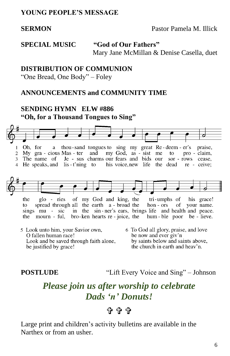### **YOUNG PEOPLE'S MESSAGE**

**SERMON Pastor Pamela M. Illick** 

**SPECIAL MUSIC "God of Our Fathers"** Mary Jane McMillan & Denise Casella, duet

#### **DISTRIBUTION OF COMMUNION**

"One Bread, One Body" – Foley

### **ANNOUNCEMENTS and COMMUNITY TIME**

#### **SENDING HYMN ELW #886 "Oh, for a Thousand Tongues to Sing"**



O fallen human race! Look and be saved through faith alone, be justified by grace!

be now and ever giv'n by saints below and saints above, the church in earth and heav'n.

**POSTLUDE** "Lift Every Voice and Sing" – Johnson

# *Please join us after worship to celebrate Dads 'n' Donuts!*

# ቱ ቁ

Large print and children's activity bulletins are available in the Narthex or from an usher.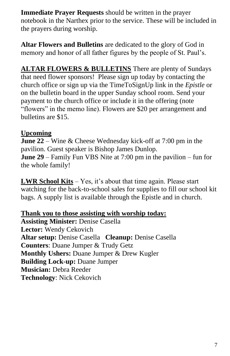**Immediate Prayer Requests** should be written in the prayer notebook in the Narthex prior to the service. These will be included in the prayers during worship.

**Altar Flowers and Bulletins** are dedicated to the glory of God in memory and honor of all father figures by the people of St. Paul's.

**ALTAR FLOWERS & BULLETINS** There are plenty of Sundays that need flower sponsors! Please sign up today by contacting the church office or sign up via the TimeToSignUp link in the *Epistle* or on the bulletin board in the upper Sunday school room. Send your payment to the church office or include it in the offering (note "flowers" in the memo line). Flowers are \$20 per arrangement and bulletins are \$15.

# **Upcoming**

**June 22** – Wine & Cheese Wednesday kick-off at 7:00 pm in the pavilion. Guest speaker is Bishop James Dunlop. **June 29** – Family Fun VBS Nite at 7:00 pm in the pavilion – fun for the whole family!

**LWR School Kits** – Yes, it's about that time again. Please start watching for the back-to-school sales for supplies to fill our school kit bags. A supply list is available through the Epistle and in church.

## **Thank you to those assisting with worship today:**

**Assisting Minister:** Denise Casella **Lector:** Wendy Cekovich **Altar setup:** Denise Casella **Cleanup:** Denise Casella **Counters**: Duane Jumper & Trudy Getz **Monthly Ushers:** Duane Jumper & Drew Kugler **Building Lock-up:** Duane Jumper **Musician:** Debra Reeder **Technology**: Nick Cekovich